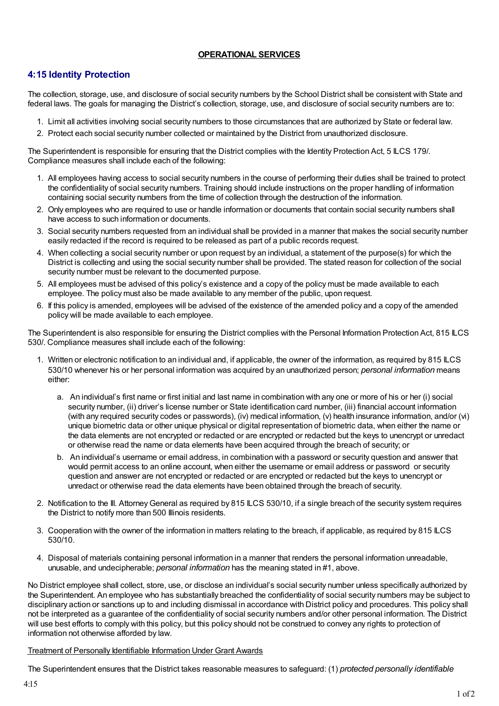## **OPERATIONAL SERVICES**

## **4:15 Identity Protection**

The collection, storage, use, and disclosure of social security numbers by the School District shall be consistent with State and federal laws. The goals for managing the District's collection, storage, use, and disclosure of social security numbers are to:

- 1. Limit all activities involving social security numbers to those circumstances that are authorized by State or federal law.
- 2. Protect each social security number collected or maintained by the District from unauthorized disclosure.

The Superintendent is responsible for ensuring that the District complies with the Identity Protection Act, 5 ILCS 179/. Compliance measures shall include each of the following:

- 1. All employees having access to social security numbers in the course of performing their duties shall be trained to protect the confidentiality of social security numbers. Training should include instructions on the proper handling of information containing social security numbers from the time of collection through the destruction of the information.
- 2. Only employees who are required to use or handle information or documents that contain social security numbers shall have access to such information or documents.
- 3. Social security numbers requested from an individual shall be provided in a manner that makes the social security number easily redacted if the record is required to be released as part of a public records request.
- 4. When collecting a social security number or upon request by an individual, a statement of the purpose(s) for which the District is collecting and using the social security number shall be provided. The stated reason for collection of the social security number must be relevant to the documented purpose.
- 5. All employees must be advised of this policy's existence and a copy of the policy must be made available to each employee. The policy must also be made available to any member of the public, upon request.
- 6. If this policy is amended, employees will be advised of the existence of the amended policy and a copy of the amended policy will be made available to each employee.

The Superintendent is also responsible for ensuring the District complies with the Personal Information Protection Act, 815 ILCS 530/. Compliance measures shall include each of the following:

- 1. Written or electronic notification to an individual and, if applicable, the owner of the information, as required by 815 ILCS 530/10 whenever his or her personal information was acquired by an unauthorized person; *personal information* means either:
	- a. An individual's first name or first initial and last name in combination with any one or more of his or her (i) social security number, (ii) driver's license number or State identification card number, (iii) financial account information (with any required security codes or passwords), (iv) medical information, (v) health insurance information, and/or (vi) unique biometric data or other unique physical or digital representation of biometric data, when either the name or the data elements are not encrypted or redacted or are encrypted or redacted but the keys to unencrypt or unredact or otherwise read the name or data elements have been acquired through the breach of security; or
	- b. An individual's username or email address, in combination with a password or security question and answer that would permit access to an online account, when either the username or email address or password or security question and answer are not encrypted or redacted or are encrypted or redacted but the keys to unencrypt or unredact or otherwise read the data elements have been obtained through the breach of security.
- 2. Notification to the Ill. AttorneyGeneral as required by 815 ILCS 530/10, if a single breach of the security system requires the District to notify more than 500 Illinois residents.
- 3. Cooperation with the owner of the information in matters relating to the breach, if applicable, as required by 815 ILCS 530/10.
- 4. Disposal of materials containing personal information in a manner that renders the personal information unreadable, unusable, and undecipherable; *personal information* has the meaning stated in #1, above.

No District employee shall collect, store, use, or disclose an individual's social security number unless specifically authorized by the Superintendent. An employee who has substantially breached the confidentiality of social security numbers may be subject to disciplinary action or sanctions up to and including dismissal in accordance with District policy and procedures. This policy shall not be interpreted as a guarantee of the confidentiality of social security numbers and/or other personal information. The District will use best efforts to comply with this policy, but this policy should not be construed to convey any rights to protection of information not otherwise afforded by law.

## Treatment of Personally Identifiable Information Under Grant Awards

The Superintendent ensures that the District takes reasonable measures to safeguard: (1) *protected personally identifiable*